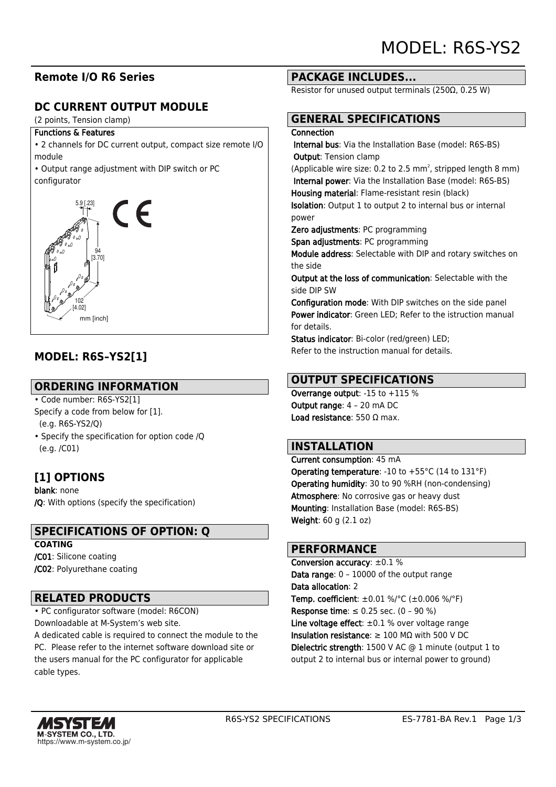### **Remote I/O R6 Series**

## **DC CURRENT OUTPUT MODULE**

(2 points, Tension clamp)

#### Functions & Features

• 2 channels for DC current output, compact size remote I/O module

• Output range adjustment with DIP switch or PC configurator



### **MODEL: R6S–YS2[1]**

#### **ORDERING INFORMATION**

- Code number: R6S-YS2[1] Specify a code from below for [1]. (e.g. R6S-YS2/Q)
- Specify the specification for option code /Q (e.g. /C01)

### **[1] OPTIONS**

blank: none /Q: With options (specify the specification)

### **SPECIFICATIONS OF OPTION: Q**

**COATING** /C01: Silicone coating /C02: Polyurethane coating

#### **RELATED PRODUCTS**

• PC configurator software (model: R6CON) Downloadable at M-System's web site.

A dedicated cable is required to connect the module to the PC. Please refer to the internet software download site or the users manual for the PC configurator for applicable cable types.

#### **PACKAGE INCLUDES...**

Resistor for unused output terminals (250Ω, 0.25 W)

# **GENERAL SPECIFICATIONS**

#### **Connection**

 Internal bus: Via the Installation Base (model: R6S-BS) Output: Tension clamp

(Applicable wire size: 0.2 to 2.5  $mm<sup>2</sup>$ , stripped length 8  $mm$ ) Internal power: Via the Installation Base (model: R6S-BS)

Housing material: Flame-resistant resin (black) Isolation: Output 1 to output 2 to internal bus or internal power

Zero adjustments: PC programming

Span adjustments: PC programming

Module address: Selectable with DIP and rotary switches on the side

Output at the loss of communication: Selectable with the side DIP SW

Configuration mode: With DIP switches on the side panel Power indicator: Green LED; Refer to the istruction manual for details.

Status indicator: Bi-color (red/green) LED; Refer to the instruction manual for details.

### **OUTPUT SPECIFICATIONS**

Overrange output: -15 to +115 % Output range: 4 – 20 mA DC Load resistance: 550 Ω max.

### **INSTALLATION**

Current consumption: 45 mA **Operating temperature:** -10 to  $+55^{\circ}$ C (14 to 131 $^{\circ}$ F) Operating humidity: 30 to 90 %RH (non-condensing) Atmosphere: No corrosive gas or heavy dust Mounting: Installation Base (model: R6S-BS) Weight: 60 g (2.1 oz)

#### **PERFORMANCE**

Conversion accuracy: ±0.1 % Data range: 0 – 10000 of the output range Data allocation: 2 **Temp. coefficient:**  $\pm 0.01$  %/°C ( $\pm 0.006$  %/°F) **Response time**: ≤ 0.25 sec.  $(0 - 90 %)$ Line voltage effect:  $\pm 0.1$  % over voltage range Insulation resistance:  $\geq 100$  MQ with 500 V DC Dielectric strength: 1500 V AC @ 1 minute (output 1 to output 2 to internal bus or internal power to ground)

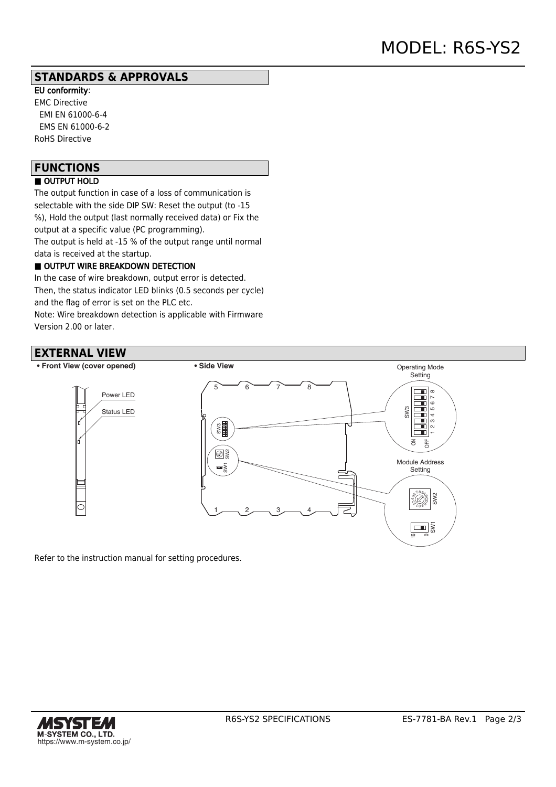#### **STANDARDS & APPROVALS**

EU conformity: EMC Directive EMI EN 61000-6-4 EMS EN 61000-6-2 RoHS Directive

## **FUNCTIONS**

#### ■ OUTPUT HOLD

The output function in case of a loss of communication is selectable with the side DIP SW: Reset the output (to -15 %), Hold the output (last normally received data) or Fix the output at a specific value (PC programming). The output is held at -15 % of the output range until normal

data is received at the startup.

#### OUTPUT WIRE BREAKDOWN DETECTION

In the case of wire breakdown, output error is detected. Then, the status indicator LED blinks (0.5 seconds per cycle) and the flag of error is set on the PLC etc.

Note: Wire breakdown detection is applicable with Firmware Version 2.00 or later.

## **EXTERNAL VIEW**



Refer to the instruction manual for setting procedures.